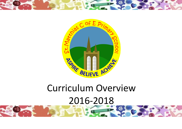



## Curriculum Overview 2016-2018G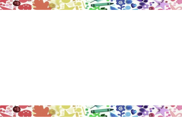

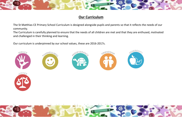

## **Our Curriculum**

The St Matthias CE Primary School Curriculum is designed alongside pupils and parents so that it reflects the needs of our community.

The Curriculum is carefully planned to ensure that the needs of all children are met and that they are enthused, motivated and challenged in their thinking and learning.

Our curriculum is underpinned by our school values, these are 2016-2017s.



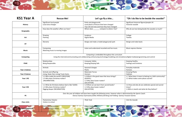

| <b>KS1 Year A</b>   | <b>Rescue Me!</b>                                                                                                   | Let's go fly a kite                                                                                                                                                                                          | "Oh I do like to be beside the seaside!"                                                                   |
|---------------------|---------------------------------------------------------------------------------------------------------------------|--------------------------------------------------------------------------------------------------------------------------------------------------------------------------------------------------------------|------------------------------------------------------------------------------------------------------------|
| History             | Significant local people<br>Local area changes                                                                      | Parks and playgrounds<br>Local places of leisure that have changed<br>Toys old and new and how they have changed                                                                                             | Significant historical figures/people UK<br>Victorian seaside                                              |
| Geography           | How does the weather affect our lives?                                                                              | Where does _________ compare to where I live?                                                                                                                                                                | Why do we love being beside the seaside so much?                                                           |
| Art                 | Drawing<br>Painting                                                                                                 | Sculpture<br>Digital Media                                                                                                                                                                                   | Collage<br><b>Textiles</b>                                                                                 |
| DT                  | Diorama                                                                                                             | Design and make a model playground/park                                                                                                                                                                      | Design and make boats                                                                                      |
| <b>Music</b>        | Composing<br>Matching music to moving images                                                                        | Listen and understand recorded and live music.                                                                                                                                                               | Music express themes                                                                                       |
| Computing           |                                                                                                                     | Computing is embedded throughout the curriculum<br>Using the internet/communicating and collaborating online/using technology/modeling and simulations/digital media/programming and control                 |                                                                                                            |
| <b>PSHE</b>         | Relationships<br>Being Responsible                                                                                  | <b>Computer Safety</b><br>Keeping/Staying Safe                                                                                                                                                               | <b>Keeping Healthy</b><br><b>Feelings and Emotions</b>                                                     |
| Year 1 Science      | Animals                                                                                                             | Seasonal changes<br>Plants                                                                                                                                                                                   | Everyday materials<br>Humans                                                                               |
| Year 2 Science      | Animals and offspring<br>Living, Dead, Non-Living/ Food chains                                                      | Materials/Forces<br>Humans                                                                                                                                                                                   | <b>Growing Plants</b><br>Habitats                                                                          |
| Year 1 RE           | 1.2 Who made the world? (CREATION)<br>1.3 Why does Christmas matter?<br>(INCARNATION)                               | 1.4 What is the good news that Jesus brings?<br>(GOSPEL)<br>1.5 Why does Easter matter?<br>(SALVATION)                                                                                                       | 1.7 What does it mean to belong to a faith community?<br>1.5 What makes some places sacred?                |
| Year 2 RE           | 1.1 What do Christians believe God is like? (GOD)<br>1.3 Why does Christmas matter?<br>Digging deeper (INCARNATION) | 1.4 What can we learn from sacred books?<br>1.5 Why does Easter matter?<br>(SALVATION)                                                                                                                       | 1.6 How and why do we celebrate special and sacred<br>times?<br>1.3Who is Jewish and what do they believe? |
| PE                  |                                                                                                                     | Over the year all children will have been taught the following areas, however when is determined by the Sports Coach.<br>Dance/ Games/ Gymnastics/OAA/ Athletics/Striking and Fielding Games/ Invasion Games |                                                                                                            |
| <b>Class visits</b> | Pantomime/theatre<br>Visitors to school                                                                             | <b>Think Tank</b>                                                                                                                                                                                            | Visit the Seaside                                                                                          |
| ental engagement    | <b>Christmas Decorations</b><br><b>Visit to Malvern Library</b>                                                     | <b>Easter Godly Play</b><br><b>Easter Bonnet Making</b>                                                                                                                                                      | Parents to join children ai                                                                                |

ヽ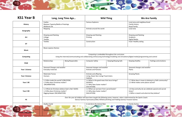

| <b>KS1 Year B</b>          |                                                                                                                     | Long, Long Time Ago |                                                                                                                                                                                                               | <b>Wild Thing</b>                               |                                                                                                            | <b>We Are Family</b>  |
|----------------------------|---------------------------------------------------------------------------------------------------------------------|---------------------|---------------------------------------------------------------------------------------------------------------------------------------------------------------------------------------------------------------|-------------------------------------------------|------------------------------------------------------------------------------------------------------------|-----------------------|
| <b>History</b>             | Castles<br>Bayeaux Tapestry/Battle of Hastings<br>Medieval Life                                                     |                     | <b>Famous Explorers</b>                                                                                                                                                                                       |                                                 | Local area and neighbourhood<br>Family history<br>Royal Family                                             |                       |
| Geography                  | Mapping                                                                                                             |                     | Animals around the world                                                                                                                                                                                      |                                                 | Local area                                                                                                 |                       |
| Art                        | <b>Drawing and Painting</b><br>Collage<br>Textiles                                                                  |                     | <b>Drawing and Painting</b><br>Printing                                                                                                                                                                       |                                                 | <b>Drawing and Painting</b><br>Sculpture<br>Digital Media                                                  |                       |
| DT                         | <b>Textiles</b>                                                                                                     |                     | Construction                                                                                                                                                                                                  |                                                 | Food-Healthy eating                                                                                        |                       |
| Music                      | Music express themes                                                                                                |                     |                                                                                                                                                                                                               |                                                 |                                                                                                            |                       |
| Computing                  |                                                                                                                     |                     | Using the internet/communicating and collaborating online/using technology/modeling and simulations/digital media/programming and control                                                                     | Computing is embedded throughout the curriculum |                                                                                                            |                       |
| <b>PSHE</b>                | Relationships                                                                                                       | Being Responsible   | <b>Computer Safety</b>                                                                                                                                                                                        | Keeping/Staying Safe                            | <b>Keeping Healthy</b>                                                                                     | Feelings and emotions |
| Year 1 Science             | Seasonal Changes and weather<br>Everyday materials                                                                  |                     | Seasonal changes and weather<br><b>Animals and Humans</b>                                                                                                                                                     |                                                 | Seasonal changes and weather<br>Plants                                                                     |                       |
| Year 2 Science             | Materials/Forces<br>Humans                                                                                          |                     | Animals and offspring<br>Living, Dead, Non-Living/Food chains<br>Habitats                                                                                                                                     |                                                 | <b>Growing Plants</b>                                                                                      |                       |
| Year 1 RE                  | 1.2 Who made the world? (CREATION)<br>1.3 Why does Christmas matter?<br>(INCARNATION)                               |                     | 1.4 What is the good news that Jesus brings?<br>(GOSPEL)<br>1.5 Why does Easter matter?<br>(SALVATION)                                                                                                        |                                                 | 1.7 What does it mean to belong to a faith community?<br>1.5 What makes some places sacred?                |                       |
| Year 2 RE                  | 1.1 What do Christians believe God is like? (GOD)<br>1.3 Why does Christmas matter?<br>Digging deeper (INCARNATION) |                     | 1.4 What can we learn from sacred books?<br>1.5 Why does Easter matter?<br>(SALVATION)                                                                                                                        |                                                 | 1.6 How and why do we celebrate special and sacred<br>times?<br>1.3Who is Jewish and what do they believe? |                       |
| PE                         |                                                                                                                     |                     | Over the year all children will have been taught the following areas, however, when is determined by the Sports Coach.<br>Dance/ Games/ Gymnastics/OAA/ Athletics/Striking and Fielding Games/ Invasion Games |                                                 |                                                                                                            |                       |
| <b>Class visits</b>        | <b>Dudley Castle</b>                                                                                                |                     | A visit form the Animal Man                                                                                                                                                                                   |                                                 | <b>Family Outing</b>                                                                                       |                       |
| <b>Parental engagement</b> | <b>Christmas Decorations</b>                                                                                        |                     | <b>Easter Bonnet Making</b><br><b>Library</b>                                                                                                                                                                 |                                                 | <b>Parent Picnic and part</b>                                                                              |                       |

改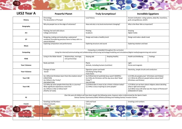| <b>LKS2 Year A</b> | <b>Powerful Planet</b>                                                                                                                                                                       |                                                                                                                                                                                                              | <b>Truly Scrumptious!</b>                                                                                                           |                 |                                                                                                                                                                 | <b>Incredible Egyptians</b>                 |  |
|--------------------|----------------------------------------------------------------------------------------------------------------------------------------------------------------------------------------------|--------------------------------------------------------------------------------------------------------------------------------------------------------------------------------------------------------------|-------------------------------------------------------------------------------------------------------------------------------------|-----------------|-----------------------------------------------------------------------------------------------------------------------------------------------------------------|---------------------------------------------|--|
| <b>History</b>     | Chronology<br>The devastation of Pompeii                                                                                                                                                     |                                                                                                                                                                                                              | Local history                                                                                                                       |                 | Ancient civilization: ruling systems, daily life, inventions,<br>gods and goddesses, beliefs                                                                    |                                             |  |
| Geography          | Why do people live on the edge of volcanoes?                                                                                                                                                 |                                                                                                                                                                                                              | How and why is my local environment changing?                                                                                       |                 | Why is the River Nile so important?                                                                                                                             |                                             |  |
| Art                | Painting; hot and cold colours<br>Collage and texture                                                                                                                                        |                                                                                                                                                                                                              | Printing<br>Sculpture                                                                                                               |                 | Drawing<br>Digital media                                                                                                                                        |                                             |  |
| DT                 | Designing, making and evaluating a waterproof<br>container (Considering precious items to keep safe in a<br>natural disaster)                                                                |                                                                                                                                                                                                              | Design and make a healthy lunch                                                                                                     |                 | Design and make a death mask                                                                                                                                    |                                             |  |
| Music              | Exploring composition and performance                                                                                                                                                        |                                                                                                                                                                                                              | Exploring structure and sound                                                                                                       |                 | Exploring notation and beat                                                                                                                                     |                                             |  |
| Computing          | Computing is embedded throughout the curriculum<br>Using the internet/communicating and collaborating online/using technology/modeling and simulations/digital media/programming and control |                                                                                                                                                                                                              |                                                                                                                                     |                 |                                                                                                                                                                 |                                             |  |
| <b>PSHE</b>        | Living in the Wider World                                                                                                                                                                    | Relationships, marriage,<br>civil partnerships                                                                                                                                                               | Staying safe                                                                                                                        | Keeping Healthy | Health and Wellbeing                                                                                                                                            | Feelings                                    |  |
| Year 3 Science     | Rocks and Soils                                                                                                                                                                              |                                                                                                                                                                                                              | Plants<br>Animals, including humans (nutrition)                                                                                     |                 | Light<br>Forces and magnets                                                                                                                                     |                                             |  |
| Year 4 Science     | Changes of state<br>Sound                                                                                                                                                                    |                                                                                                                                                                                                              | Digestive system and teeth<br>Classifying living things<br>Food chains                                                              |                 |                                                                                                                                                                 | Electricity, simple circuits and conductors |  |
| Year 3 RE          | 2a.1. What do Christians learn from the creation story?<br>(CREATION)<br>2a.3 What is the Trinity?                                                                                           |                                                                                                                                                                                                              | 2a.4 What kind of world did Jesus want? (GOSPEL)<br>2a.5 Why do Christians call the day Jesus died 'Good<br>Friday"?<br>(SALVATION) |                 | L2.4 Why do people pray? (Christians and Hindus)<br>L2.1 What do different people believe about God?<br>(Christians and Hindus)                                 |                                             |  |
| Year 4 RE          | (INCARNATION)<br>L2.6 Why do some people think that life is a journey?<br>What significant experiences mark this?<br>2a.2 What is it like to follow God?<br>(PEOPLE OF GOD)                  |                                                                                                                                                                                                              | L2.8 What does it mean to be a Hindu in Britain today?<br>L2.3 Why is Jesus inspiring to some people?                               |                 | L2.9 What can we learn about religions about deciding<br>what is right and wrong?<br>2a.6 When Jesus left what was the impact of Pentecost?<br>(KINGDOM OF GOD) |                                             |  |
| PE                 |                                                                                                                                                                                              | Over the year all children will have been taught the following areas, however when is determined by the Sports Coach.<br>Dance/ Games/ Gymnastics/OAA/ Athletics/Striking and Fielding Games/ Invasion Games |                                                                                                                                     |                 |                                                                                                                                                                 |                                             |  |
| French             | Greetings and Numbers<br>Colours and pets<br><b>Bishop's Wood Survival Day</b>                                                                                                               | $\mathcal{L} = \mathcal{L}$                                                                                                                                                                                  | Café and Food<br>French<br>Pizza Express and/or Tesco Farm to Fork<br>G                                                             |                 | Greetings and numbers<br>Visit to/ from The Canal and Waterways Trust                                                                                           |                                             |  |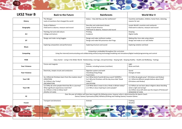| <b>LKS2 Year B</b> | <b>Back to the Future</b>                                                                                                                                  | <b>Rainforests</b>                                                                                                                                                                                           | World War II                                                                                                                                                    |
|--------------------|------------------------------------------------------------------------------------------------------------------------------------------------------------|--------------------------------------------------------------------------------------------------------------------------------------------------------------------------------------------------------------|-----------------------------------------------------------------------------------------------------------------------------------------------------------------|
| <b>History</b>     | The Morgan<br>Look at inventions that changed the world                                                                                                    | Aztecs - How did they use the rainforests?                                                                                                                                                                   | Countries and leaders, children, home front, rationing,<br>reasons for war                                                                                      |
| Geography          | Study of Malvern<br>Field work to observe, measure and record                                                                                              | Describe and understand climate.<br>Study of South America<br>Field work to observe, measure and record                                                                                                      | Locate World's countries and continents<br>Field work to observe, measure and record                                                                            |
| Art                | Painting; hot and cold colours<br>Collage and texture                                                                                                      | Printing<br>Sculpture                                                                                                                                                                                        | Drawing<br>Digital media                                                                                                                                        |
| DT                 | Design and make racing buggies                                                                                                                             | Design and make rainforest cookies<br>Design and make felt poisonous dart frogs                                                                                                                              | Making War time cake using rations<br>Design and make an air raid shelter                                                                                       |
| Music              | Exploring composition and performance                                                                                                                      | Exploring structure and sound                                                                                                                                                                                | Exploring notation and beat                                                                                                                                     |
| Computing          |                                                                                                                                                            | Computing is embedded throughout the curriculum<br>Using the internet/communicating and collaborating online/using technology/modeling and simulations/digital media/programming and control                 |                                                                                                                                                                 |
| <b>PSHE</b>        |                                                                                                                                                            | Class charter - Living in the Wider World - Relationships, marriage, civil partnerships - Staying Safe - Keeping Healthy - Health and Wellbeing - Feelings                                                   |                                                                                                                                                                 |
| Year 3 Science     | Forces and magnets                                                                                                                                         | Plants<br>Animals, including humans (nutrition)                                                                                                                                                              | Light<br>Rocks and Soils                                                                                                                                        |
| Year 4 Science     | Electricity, simple circuits and conductors                                                                                                                | Digestive system and teeth<br>Classifying living things<br>Food chains                                                                                                                                       | Sound<br>Changes of state                                                                                                                                       |
| Year 3 RE          | 2a.1. What do Christians learn from the creation story?<br>(CREATION)<br>2a.3 What is the Trinity?<br>(INCARNATION)                                        | 2a.4 What kind of world did Jesus want? (GOSPEL)<br>2a.5 Why do Christians call the day Jesus died 'Good<br>Friday"?<br>(SALVATION)                                                                          | L2.4 Why do people pray? (Christians and Hindus)<br>L2.1 What do different people believe about God?<br>(Christians and Hindus)                                 |
| Year 4 RE          | L2.6 Why do some people think that life is a journey?<br>What significant experiences mark this?<br>2a.2 What is it like to follow God?<br>(PEOPLE OF GOD) | L2.8 What does it mean to be a Hindu in Britain today?<br>L2.3 Why is Jesus inspiring to some people?                                                                                                        | L2.9 What can we learn about religions about deciding<br>what is right and wrong?<br>2a.6 When Jesus left what was the impact of Pentecost?<br>(KINGDOM OF GOD) |
| PE                 |                                                                                                                                                            | Over the year all children will have been taught the following areas, however when is determined by the Sports Coach.<br>Dance/ Games/ Gymnastics/OAA/ Athletics/Striking and Fielding Games/ Invasion Games |                                                                                                                                                                 |
|                    | Transport and directions                                                                                                                                   | Animals                                                                                                                                                                                                      | Clothing<br>Weather                                                                                                                                             |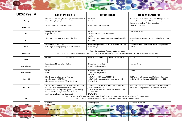| <b>UKS2 Year A</b>                   | <b>Rise of the Empire!</b>                                                                                                                                                                                                                                           |                                                                                                                                           | <b>Frozen Planet</b>                                                                                                                                                   |                                                                                                                                                                                                              | <b>Trade and Enterprise!</b>                                                                                 |                                                                                                                                                     |  |
|--------------------------------------|----------------------------------------------------------------------------------------------------------------------------------------------------------------------------------------------------------------------------------------------------------------------|-------------------------------------------------------------------------------------------------------------------------------------------|------------------------------------------------------------------------------------------------------------------------------------------------------------------------|--------------------------------------------------------------------------------------------------------------------------------------------------------------------------------------------------------------|--------------------------------------------------------------------------------------------------------------|-----------------------------------------------------------------------------------------------------------------------------------------------------|--|
| <b>History</b>                       |                                                                                                                                                                                                                                                                      | Malvern and local area, the railways, Industrialization of<br>Great Britain, Empire, Crime and punishment                                 |                                                                                                                                                                        | Himalayas<br>Shakleton                                                                                                                                                                                       |                                                                                                              | How did people use trade in the past? What goods were<br>available to past societies? What products were<br>discovered by explorers? South America. |  |
| Geography                            |                                                                                                                                                                                                                                                                      | Who are Britain's National Park's for?                                                                                                    |                                                                                                                                                                        | Why are mountains important?                                                                                                                                                                                 |                                                                                                              | Why is fair trade fair?                                                                                                                             |  |
| Art                                  | Digital Media                                                                                                                                                                                                                                                        | Printing: William Morris                                                                                                                  |                                                                                                                                                                        | Drawing<br>Mountain art work - Albert Bierstadt<br>Sculpture                                                                                                                                                 |                                                                                                              | Textiles and collage                                                                                                                                |  |
| <b>DT</b>                            | Victorian moving toys using cams and pulleys                                                                                                                                                                                                                         |                                                                                                                                           | Shelters for explorers shelters: using natural materials/<br>camouflage                                                                                                |                                                                                                                                                                                                              | Research and design and make international celebration<br>meal                                               |                                                                                                                                                     |  |
| Music                                | Victorian Music Hall Songs<br>Listening to and singing songs from different eras                                                                                                                                                                                     |                                                                                                                                           | Listen and respond to In the Hall of the Mountain King<br>from Peer Gynt                                                                                               |                                                                                                                                                                                                              | Music of different nations and cultures. Compare and<br>contrast                                             |                                                                                                                                                     |  |
| Computing                            |                                                                                                                                                                                                                                                                      | Using the internet/communicating and collaborating online/using technology/modeling and simulations/digital media/programming and control |                                                                                                                                                                        | Computing is embedded throughout the curriculum                                                                                                                                                              |                                                                                                              |                                                                                                                                                     |  |
| <b>PSHE</b>                          | Class Charter                                                                                                                                                                                                                                                        | Global Issues                                                                                                                             | New Year Resolutions                                                                                                                                                   | <b>Health and Wellbeing</b>                                                                                                                                                                                  | Money                                                                                                        | Transition                                                                                                                                          |  |
| <b>Year 5 Science</b>                | Properties and Changes in materials<br>Forces                                                                                                                                                                                                                        |                                                                                                                                           | Living things and habitats<br>Animals including Humans                                                                                                                 |                                                                                                                                                                                                              | Earth and Space                                                                                              |                                                                                                                                                     |  |
| Year 6 Science                       | Electricity<br>Light                                                                                                                                                                                                                                                 |                                                                                                                                           |                                                                                                                                                                        | Living Things and habitats<br>Animals including Humans<br>Evolution                                                                                                                                          |                                                                                                              | Revision                                                                                                                                            |  |
| Year 5 RE                            |                                                                                                                                                                                                                                                                      | 2b.2 Creation and Science: conflicting or<br>complementary? (CREATION)<br>2b.4 Was Jesus the Messiah? (INCARNATION)                       |                                                                                                                                                                        | 2B.5 What would Jesus do? (GOSPEL)<br>2b.6 What did Jesus do to save human beings? (Y5)<br>(SALVATION)                                                                                                       |                                                                                                              | U2.6 What does it mean to be a Muslim in Britain today?<br>2b.8 What kind of king is Jesus? (KINGDOM OF GOD)                                        |  |
| Year 6 RE                            | 2b.1. What does it mean if God is holy and loving? (GOD)<br>U2.1 Why do some people think God exists?<br>(Christian and non-religious responses eg Humanists)<br>U2.5 Is it better to express your beliefs in arts and<br>architecture or in charity and generosity? |                                                                                                                                           | 2b.3 How far does following God bring freedom and<br>justice. (PEOPLE OF GOD)<br>2b.7 What difference does the resurrection make for<br>Christians (Y6)<br>(SALVATION) |                                                                                                                                                                                                              | U2.7 What matters most to Christians and Humanists?<br>U2.3 What do religions say to us when life gets hard? |                                                                                                                                                     |  |
|                                      |                                                                                                                                                                                                                                                                      |                                                                                                                                           |                                                                                                                                                                        | Over the year all children will have been taught the following areas, however when is determined by the Sports Coach.<br>Dance/ Games/ Gymnastics/OAA/ Athletics/Striking and Fielding Games/ Invasion Games |                                                                                                              |                                                                                                                                                     |  |
| PE                                   |                                                                                                                                                                                                                                                                      |                                                                                                                                           | Scene de plague<br><b>CALL</b><br>Snow Dome                                                                                                                            |                                                                                                                                                                                                              | Le passé et le present                                                                                       |                                                                                                                                                     |  |
| <b>French</b><br><b>Class visits</b> | Weather<br>Notre Monde<br><b>Black Country Museum</b>                                                                                                                                                                                                                |                                                                                                                                           |                                                                                                                                                                        |                                                                                                                                                                                                              | <b>Cadbury's World</b>                                                                                       |                                                                                                                                                     |  |